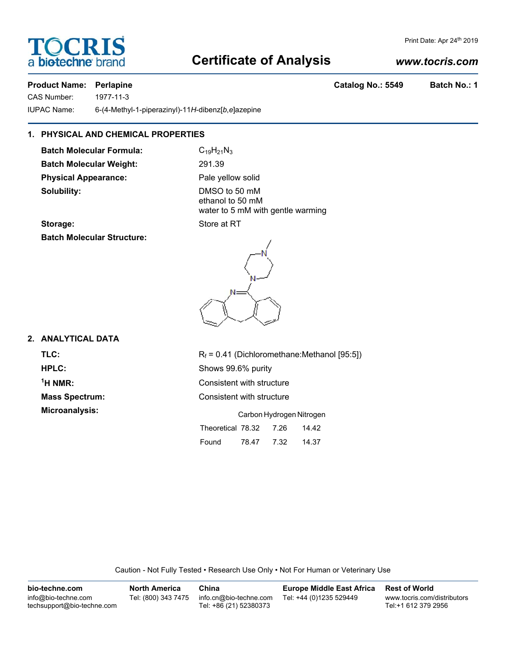## **Certificate of Analysis**

#### *www.tocris.com*

Print Date: Apr 24th 2019

#### **Product Name: Perlapine Catalog No.: 5549 Batch No.: 1**

OCRIS

CAS Number: 1977-11-3

a **biotechne** b

IUPAC Name: 6-(4-Methyl-1-piperazinyl)-11*H*-dibenz[*b*,*e*]azepine

#### **1. PHYSICAL AND CHEMICAL PROPERTIES**

**Batch Molecular Formula:** C<sub>19</sub>H<sub>21</sub>N<sub>3</sub> **Batch Molecular Weight:** 291.39 **Physical Appearance:** Pale yellow solid **Solubility:** DMSO to 50 mM

ethanol to 50 mM water to 5 mM with gentle warming

#### **Storage:** Store at RT

**Batch Molecular Structure:**



#### **2. ANALYTICAL DATA**

 $<sup>1</sup>H NMR$ :</sup>

**TLC:**  $R_f = 0.41$  (Dichloromethane:Methanol [95:5]) **HPLC:** Shows 99.6% purity **Consistent with structure Mass Spectrum:** Consistent with structure **Microanalysis:** Carbon Hydrogen Nitrogen Theoretical 78.32 7.26 14.42 Found 78.47 7.32 14.37

Caution - Not Fully Tested • Research Use Only • Not For Human or Veterinary Use

| bio-techne.com                                    | <b>North America</b> | China                                            | <b>Europe Middle East Africa</b> | <b>Rest of World</b>                               |
|---------------------------------------------------|----------------------|--------------------------------------------------|----------------------------------|----------------------------------------------------|
| info@bio-techne.com<br>techsupport@bio-techne.com | Tel: (800) 343 7475  | info.cn@bio-techne.com<br>Tel: +86 (21) 52380373 | Tel: +44 (0)1235 529449          | www.tocris.com/distributors<br>Tel:+1 612 379 2956 |